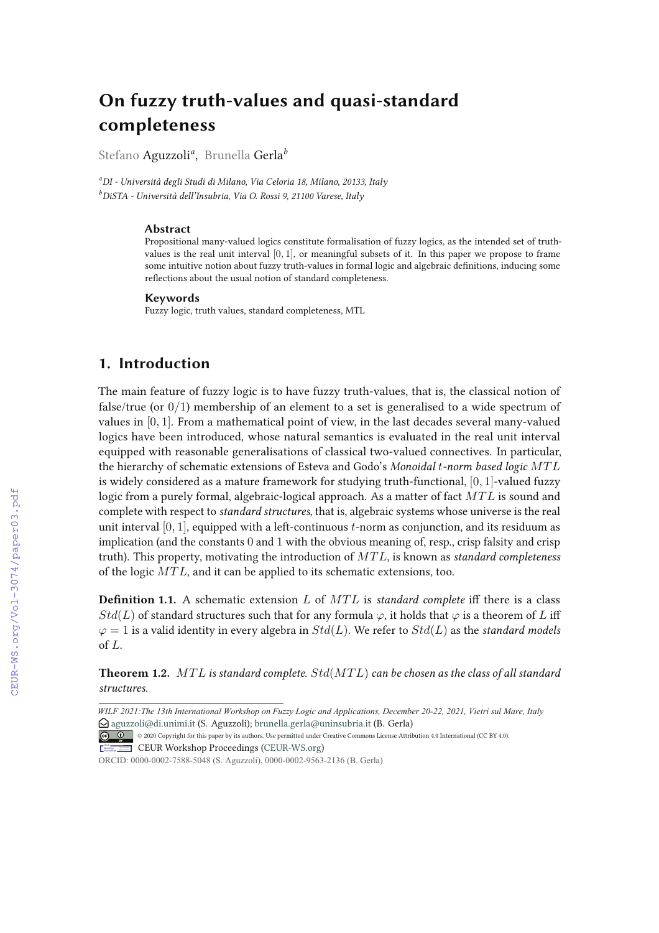# **On fuzzy truth-values and quasi-standard completeness**

Stefano Aguzzoli*<sup>a</sup>* , Brunella Gerla*<sup>b</sup>*

*<sup>a</sup>DI - Università degli Studi di Milano, Via Celoria 18, Milano, 20133, Italy <sup>b</sup>DiSTA - Università dell'Insubria, Via O. Rossi 9, 21100 Varese, Italy*

#### **Abstract**

Propositional many-valued logics constitute formalisation of fuzzy logics, as the intended set of truthvalues is the real unit interval  $[0, 1]$ , or meaningful subsets of it. In this paper we propose to frame some intuitive notion about fuzzy truth-values in formal logic and algebraic definitions, inducing some reflections about the usual notion of standard completeness.

#### **Keywords**

Fuzzy logic, truth values, standard completeness, MTL

## **1. Introduction**

The main feature of fuzzy logic is to have fuzzy truth-values, that is, the classical notion of false/true (or  $0/1$ ) membership of an element to a set is generalised to a wide spectrum of values in [0, 1]. From a mathematical point of view, in the last decades several many-valued logics have been introduced, whose natural semantics is evaluated in the real unit interval equipped with reasonable generalisations of classical two-valued connectives. In particular, the hierarchy of schematic extensions of Esteva and Godo's *Monoidal* t*-norm based logic* MT L is widely considered as a mature framework for studying truth-functional,  $[0, 1]$ -valued fuzzy logic from a purely formal, algebraic-logical approach. As a matter of fact  $MTL$  is sound and complete with respect to *standard structures*, that is, algebraic systems whose universe is the real unit interval  $[0, 1]$ , equipped with a left-continuous  $t$ -norm as conjunction, and its residuum as implication (and the constants 0 and 1 with the obvious meaning of, resp., crisp falsity and crisp truth). This property, motivating the introduction of MT L, is known as *standard completeness* of the logic MT L, and it can be applied to its schematic extensions, too.

**Definition 1.1.** A schematic extension  $L$  of  $MTL$  is *standard complete* iff there is a class  $Std(L)$  of standard structures such that for any formula  $\varphi$ , it holds that  $\varphi$  is a theorem of L iff  $\varphi = 1$  is a valid identity in every algebra in  $Std(L)$ . We refer to  $Std(L)$  as the *standard models* of L.

**Theorem 1.2.** MT L *is standard complete.* Std(MT L) *can be chosen as the class of all standard structures.*

*Wilf Vietri WILF 2021:The 13th International Workshop on Fuzzy Logic and Applications, December 20-22, 2021, Vietri sul Mare, Italy*  $\bigcirc$  aguzzoli@di.unimi.it (S. Aguzzoli); brunella.gerla@uninsubria.it (B. Gerla)

<sup>©</sup> 2020 Copyright for this paper by its authors. Use permitted under Creative Commons License Attribution 4.0 International (CC BY 4.0).

**CEUR Workshop Proceedings (CEUR-WS.org)** 

ORCID: 0000-0002-7588-5048 (S. Aguzzoli), 0000-0002-9563-2136 (B. Gerla)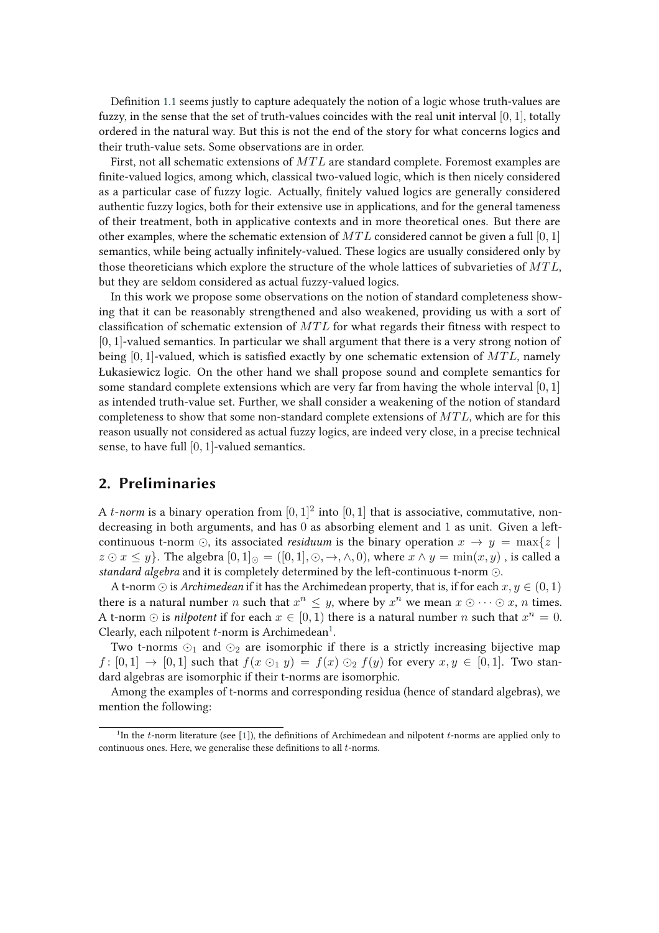Definition 1.1 seems justly to capture adequately the notion of a logic whose truth-values are fuzzy, in the sense that the set of truth-values coincides with the real unit interval [0, 1], totally ordered in the natural way. But this is not the end of the story for what concerns logics and their truth-value sets. Some observations are in order.

First, not all schematic extensions of  $MTL$  are standard complete. Foremost examples are finite-valued logics, among which, classical two-valued logic, which is then nicely considered as a particular case of fuzzy logic. Actually, finitely valued logics are generally considered authentic fuzzy logics, both for their extensive use in applications, and for the general tameness of their treatment, both in applicative contexts and in more theoretical ones. But there are other examples, where the schematic extension of  $MTL$  considered cannot be given a full [0, 1] semantics, while being actually infinitely-valued. These logics are usually considered only by those theoreticians which explore the structure of the whole lattices of subvarieties of  $MTL$ , but they are seldom considered as actual fuzzy-valued logics.

In this work we propose some observations on the notion of standard completeness showing that it can be reasonably strengthened and also weakened, providing us with a sort of classification of schematic extension of  $MTL$  for what regards their fitness with respect to [0, 1]-valued semantics. In particular we shall argument that there is a very strong notion of being  $[0, 1]$ -valued, which is satisfied exactly by one schematic extension of  $MTL$ , namely Łukasiewicz logic. On the other hand we shall propose sound and complete semantics for some standard complete extensions which are very far from having the whole interval  $[0, 1]$ as intended truth-value set. Further, we shall consider a weakening of the notion of standard completeness to show that some non-standard complete extensions of  $MTL$ , which are for this reason usually not considered as actual fuzzy logics, are indeed very close, in a precise technical sense, to have full [0, 1]-valued semantics.

## **2. Preliminaries**

A *t*-norm is a binary operation from  $[0,1]^2$  into  $[0,1]$  that is associative, commutative, nondecreasing in both arguments, and has 0 as absorbing element and 1 as unit. Given a leftcontinuous t-norm  $\odot$ , its associated *residuum* is the binary operation  $x \to y = \max\{z \mid z\}$  $z \odot x \leq y$ . The algebra  $[0,1]_{\odot} = ([0,1], \odot, \rightarrow, \land, 0)$ , where  $x \land y = \min(x, y)$ , is called a *standard algebra* and it is completely determined by the left-continuous t-norm ⊙.

A t-norm  $\odot$  is *Archimedean* if it has the Archimedean property, that is, if for each  $x, y \in (0, 1)$ there is a natural number *n* such that  $x^n \leq y$ , where by  $x^n$  we mean  $x \odot \cdots \odot x$ , *n* times. A t-norm  $\odot$  is *nilpotent* if for each  $x \in [0, 1)$  there is a natural number n such that  $x^n = 0$ . Clearly, each nilpotent  $t$ -norm is Archimedean<sup>1</sup>.

Two t-norms  $\odot$ <sub>1</sub> and  $\odot$ <sub>2</sub> are isomorphic if there is a strictly increasing bijective map  $f: [0,1] \rightarrow [0,1]$  such that  $f(x \odot_1 y) = f(x) \odot_2 f(y)$  for every  $x, y \in [0,1]$ . Two standard algebras are isomorphic if their t-norms are isomorphic.

Among the examples of t-norms and corresponding residua (hence of standard algebras), we mention the following:

<sup>&</sup>lt;sup>1</sup>In the *t*-norm literature (see [1]), the definitions of Archimedean and nilpotent *t*-norms are applied only to continuous ones. Here, we generalise these definitions to all  $t$ -norms.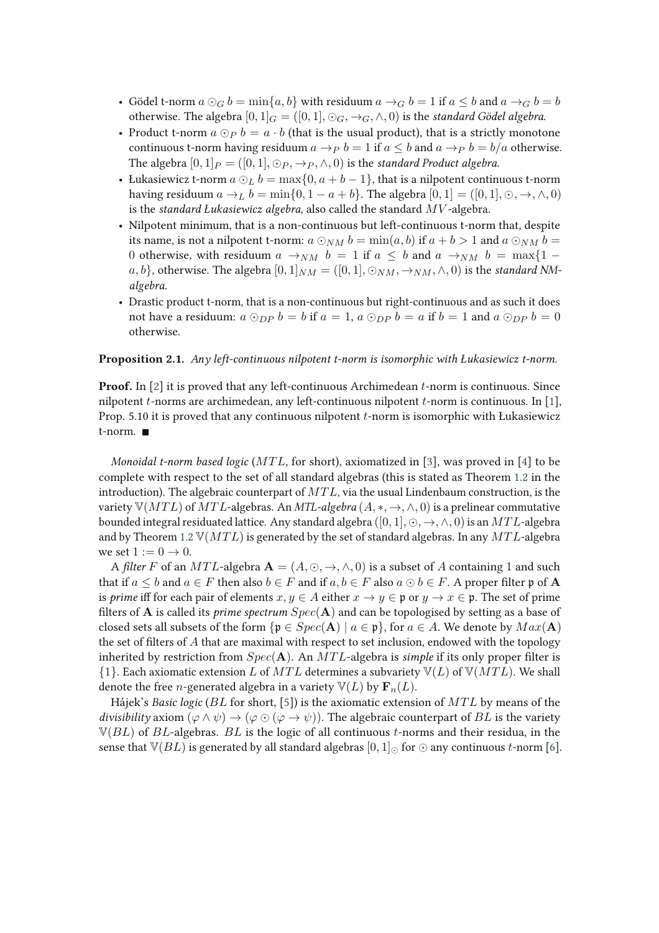- Gödel t-norm  $a \odot G b = \min\{a, b\}$  with residuum  $a \rightarrow G b = 1$  if  $a \leq b$  and  $a \rightarrow G b = b$ otherwise. The algebra  $[0, 1]_G = ([0, 1], \odot_G, \rightarrow_G, \wedge, 0)$  is the *standard Gödel algebra*.
- Product t-norm  $a \odot_{P} b = a \cdot b$  (that is the usual product), that is a strictly monotone continuous t-norm having residuum  $a \rightarrow p b = 1$  if  $a \leq b$  and  $a \rightarrow p b = b/a$  otherwise. The algebra  $[0, 1]_P = ([0, 1], \odot_P, \rightarrow_P, \wedge, 0)$  is the *standard Product algebra*.
- Łukasiewicz t-norm  $a \odot_L b = \max\{0, a+b-1\}$ , that is a nilpotent continuous t-norm having residuum  $a \rightarrow_L b = \min\{0, 1 - a + b\}$ . The algebra  $[0, 1] = ([0, 1], 0, \rightarrow, \land, 0)$ is the *standard Łukasiewicz algebra*, also called the standard MV -algebra.
- Nilpotent minimum, that is a non-continuous but left-continuous t-norm that, despite its name, is not a nilpotent t-norm:  $a \odot_{NM} b = \min(a, b)$  if  $a + b > 1$  and  $a \odot_{NM} b =$ 0 otherwise, with residuum  $a \rightarrow_{NM} b = 1$  if  $a \leq b$  and  $a \rightarrow_{NM} b = \max\{1$ a, b}, otherwise. The algebra  $[0,1]_{NM} = ([0,1], \odot_{NM}, \rightarrow_{NM}, \wedge, 0)$  is the *standard NMalgebra*.
- Drastic product t-norm, that is a non-continuous but right-continuous and as such it does not have a residuum:  $a \odot_{DP} b = b$  if  $a = 1$ ,  $a \odot_{DP} b = a$  if  $b = 1$  and  $a \odot_{DP} b = 0$ otherwise.

#### **Proposition 2.1.** *Any left-continuous nilpotent t-norm is isomorphic with Łukasiewicz t-norm.*

**Proof.** In [2] it is proved that any left-continuous Archimedean t-norm is continuous. Since nilpotent t-norms are archimedean, any left-continuous nilpotent t-norm is continuous. In [1], Prop. 5.10 it is proved that any continuous nilpotent t-norm is isomorphic with Łukasiewicz t-norm.

*Monoidal t-norm based logic* (*MTL*, for short), axiomatized in [3], was proved in [4] to be complete with respect to the set of all standard algebras (this is stated as Theorem 1.2 in the introduction). The algebraic counterpart of  $MTL$ , via the usual Lindenbaum construction, is the variety  $\mathbb{V}(MTL)$  of  $MTL$ -algebras. An *MTL-algebra*  $(A, *, \rightarrow, \wedge, 0)$  is a prelinear commutative bounded integral residuated lattice. Any standard algebra  $([0, 1], \odot, \rightarrow, \wedge, 0)$  is an MTL-algebra and by Theorem 1.2  $\mathbb{V}(MTL)$  is generated by the set of standard algebras. In any  $MTL$ -algebra we set  $1 := 0 \rightarrow 0$ .

A *filter* F of an *MTL*-algebra  $A = (A, \odot, \rightarrow, \land, 0)$  is a subset of A containing 1 and such that if  $a \leq b$  and  $a \in F$  then also  $b \in F$  and if  $a, b \in F$  also  $a \odot b \in F$ . A proper filter p of **A** is *prime* iff for each pair of elements  $x, y \in A$  either  $x \to y \in \mathfrak{p}$  or  $y \to x \in \mathfrak{p}$ . The set of prime filters of **A** is called its *prime spectrum*  $Spec(A)$  and can be topologised by setting as a base of closed sets all subsets of the form  $\{p \in Spec(A) \mid a \in p\}$ , for  $a \in A$ . We denote by  $Max(A)$ the set of filters of  $A$  that are maximal with respect to set inclusion, endowed with the topology inherited by restriction from  $Spec(A)$ . An  $MTL$ -algebra is *simple* if its only proper filter is  ${1}$ . Each axiomatic extension L of MTL determines a subvariety  $\mathbb{V}(L)$  of  $\mathbb{V}(MTL)$ . We shall denote the free *n*-generated algebra in a variety  $\mathbb{V}(L)$  by  $\mathbf{F}_n(L)$ .

Hájek's *Basic logic* (*BL* for short, [5]) is the axiomatic extension of *MTL* by means of the *divisibility* axiom  $(\varphi \land \psi) \rightarrow (\varphi \odot (\varphi \rightarrow \psi))$ . The algebraic counterpart of BL is the variety  $\mathbb{V}(BL)$  of BL-algebras. BL is the logic of all continuous t-norms and their residua, in the sense that  $\mathbb{V}(BL)$  is generated by all standard algebras  $[0, 1]_{\odot}$  for  $\odot$  any continuous t-norm [6].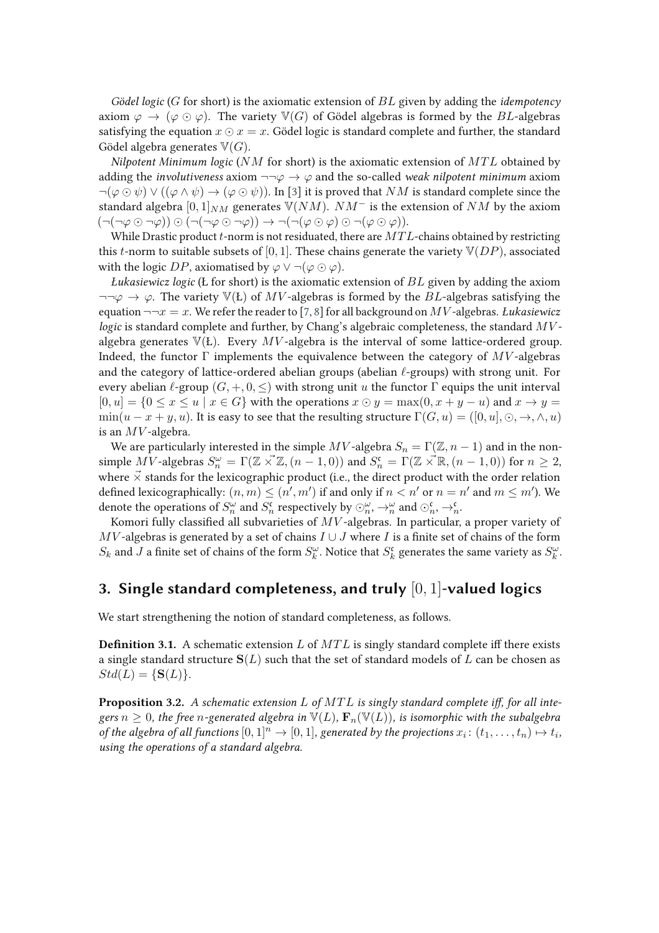*Gödel logic* (G for short) is the axiomatic extension of BL given by adding the *idempotency* axiom  $\varphi \to (\varphi \odot \varphi)$ . The variety  $\mathbb{V}(G)$  of Gödel algebras is formed by the BL-algebras satisfying the equation  $x \odot x = x$ . Gödel logic is standard complete and further, the standard Gödel algebra generates  $\mathbb{V}(G)$ .

*Nilpotent Minimum logic* ( $NM$  for short) is the axiomatic extension of  $MTL$  obtained by adding the *involutiveness* axiom  $\neg\neg\varphi \rightarrow \varphi$  and the so-called *weak nilpotent minimum* axiom  $\neg(\varphi \odot \psi) \vee ((\varphi \wedge \psi) \rightarrow (\varphi \odot \psi))$ . In [3] it is proved that NM is standard complete since the standard algebra  $[0, 1]_{NM}$  generates  $V(NM)$ .  $NM^-$  is the extension of NM by the axiom  $(\neg(\neg\varphi\odot\neg\varphi))\odot(\neg(\neg\varphi\odot\neg\varphi))\rightarrow\neg(\neg(\varphi\odot\varphi)\odot\neg(\varphi\odot\varphi)).$ 

While Drastic product t-norm is not residuated, there are  $MTL$ -chains obtained by restricting this *t*-norm to suitable subsets of [0, 1]. These chains generate the variety  $\mathbb{V}(DP)$ , associated with the logic DP, axiomatised by  $\varphi \vee \neg (\varphi \odot \varphi)$ .

*Łukasiewicz logic* (Ł for short) is the axiomatic extension of BL given by adding the axiom  $\neg\neg\varphi \rightarrow \varphi$ . The variety  $\mathbb{V}(\mathcal{L})$  of MV-algebras is formed by the BL-algebras satisfying the equation  $\neg\neg x = x$ . We refer the reader to [7, 8] for all background on MV-algebras. *Łukasiewicz logic* is standard complete and further, by Chang's algebraic completeness, the standard MValgebra generates  $\mathbb{V}(E)$ . Every MV-algebra is the interval of some lattice-ordered group. Indeed, the functor  $\Gamma$  implements the equivalence between the category of  $MV$ -algebras and the category of lattice-ordered abelian groups (abelian  $\ell$ -groups) with strong unit. For every abelian  $\ell$ -group  $(G, +, 0, <)$  with strong unit u the functor  $\Gamma$  equips the unit interval  $[0, u] = \{0 \le x \le u \mid x \in G\}$  with the operations  $x \odot y = \max(0, x + y - u)$  and  $x \rightarrow y =$  $\min(u - x + y, u)$ . It is easy to see that the resulting structure  $\Gamma(G, u) = ([0, u], \odot, \rightarrow, \wedge, u)$ is an  $MV$ -algebra.

We are particularly interested in the simple  $MV$  -algebra  $S_n = \Gamma(\mathbb{Z}, n-1)$  and in the nonsimple MV-algebras  $S_n^{\omega} = \Gamma(\mathbb{Z} \times \mathbb{Z}, (n-1,0))$  and  $S_n^{\mathfrak{c}} = \Gamma(\mathbb{Z} \times \mathbb{R}, (n-1,0))$  for  $n \geq 2$ , where  $\vec{x}$  stands for the lexicographic product (i.e., the direct product with the order relation defined lexicographically:  $(n, m) \le (n', m')$  if and only if  $n < n'$  or  $n = n'$  and  $m \le m'$ ). We denote the operations of  $S_n^{\omega}$  and  $S_n^{\mathfrak{c}}$  respectively by  $\odot_n^{\omega}$ ,  $\rightarrow_n^{\omega}$  and  $\odot_n^{\mathfrak{c}}, \rightarrow_n^{\mathfrak{c}}$ .

Komori fully classified all subvarieties of  $MV$ -algebras. In particular, a proper variety of  $MV$ -algebras is generated by a set of chains  $I \cup J$  where I is a finite set of chains of the form  $S_k$  and  $J$  a finite set of chains of the form  $S_k^{\omega}$ . Notice that  $S_k^{\mathfrak{c}}$  generates the same variety as  $S_k^{\omega}$ .

## **3. Single standard completeness, and truly** [0, 1]**-valued logics**

We start strengthening the notion of standard completeness, as follows.

**Definition 3.1.** A schematic extension L of  $MTL$  is singly standard complete iff there exists a single standard structure  $S(L)$  such that the set of standard models of L can be chosen as  $Std(L) = \{S(L)\}.$ 

**Proposition 3.2.** A schematic extension L of MTL is singly standard complete iff, for all inte*gers*  $n \geq 0$ , the free *n*-generated algebra in  $\mathbb{V}(L)$ ,  $\mathbf{F}_n(\mathbb{V}(L))$ , is isomorphic with the subalgebra *of the algebra of all functions*  $[0,1]^n \to [0,1]$ , generated by the projections  $x_i$ :  $(t_1, \ldots, t_n) \mapsto t_i$ , *using the operations of a standard algebra.*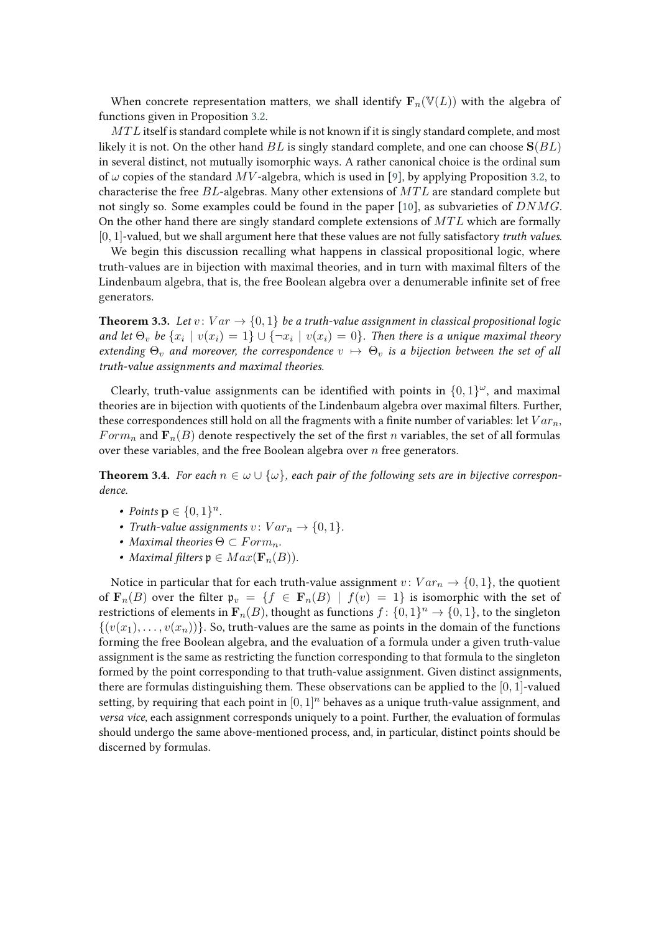When concrete representation matters, we shall identify  $\mathbf{F}_n(\mathbb{V}(L))$  with the algebra of functions given in Proposition 3.2.

 $MTL$  itself is standard complete while is not known if it is singly standard complete, and most likely it is not. On the other hand  $BL$  is singly standard complete, and one can choose  $S(BL)$ in several distinct, not mutually isomorphic ways. A rather canonical choice is the ordinal sum of  $\omega$  copies of the standard MV-algebra, which is used in [9], by applying Proposition 3.2, to characterise the free  $BL$ -algebras. Many other extensions of  $MTL$  are standard complete but not singly so. Some examples could be found in the paper [10], as subvarieties of  $DNMG$ . On the other hand there are singly standard complete extensions of  $MTL$  which are formally [0, 1]-valued, but we shall argument here that these values are not fully satisfactory *truth values*.

We begin this discussion recalling what happens in classical propositional logic, where truth-values are in bijection with maximal theories, and in turn with maximal filters of the Lindenbaum algebra, that is, the free Boolean algebra over a denumerable infinite set of free generators.

**Theorem 3.3.** *Let*  $v: Var \rightarrow \{0, 1\}$  *be a truth-value assignment in classical propositional logic* and let  $\Theta_v$  be  $\{x_i \mid v(x_i) = 1\} \cup \{\neg x_i \mid v(x_i) = 0\}$ . Then there is a unique maximal theory *extending*  $\Theta_v$  *and moreover, the correspondence*  $v \mapsto \Theta_v$  *is a bijection between the set of all truth-value assignments and maximal theories.*

Clearly, truth-value assignments can be identified with points in  $\{0,1\}^\omega$ , and maximal theories are in bijection with quotients of the Lindenbaum algebra over maximal filters. Further, these correspondences still hold on all the fragments with a finite number of variables: let  $Var_n$ , Form<sub>n</sub> and  $\mathbf{F}_n(B)$  denote respectively the set of the first n variables, the set of all formulas over these variables, and the free Boolean algebra over  $n$  free generators.

**Theorem 3.4.** *For each*  $n \in \omega \cup \{\omega\}$ , *each pair of the following sets are in bijective correspondence.*

- *Points*  $p \in \{0, 1\}^n$ *.*
- *Truth-value assignments*  $v: Var_n \to \{0, 1\}$ .
- *Maximal theories*  $\Theta \subset Form_n$ .
- *Maximal filters*  $\mathfrak{p} \in Max(\mathbf{F}_n(B)).$

Notice in particular that for each truth-value assignment  $v: Var_n \rightarrow \{0, 1\}$ , the quotient of  $\mathbf{F}_n(B)$  over the filter  $\mathfrak{p}_v = \{f \in \mathbf{F}_n(B) \mid f(v) = 1\}$  is isomorphic with the set of restrictions of elements in  $\mathbf{F}_n(B)$ , thought as functions  $f \colon \{0,1\}^n \to \{0,1\}$ , to the singleton  $\{(v(x_1), \ldots, v(x_n))\}\)$ . So, truth-values are the same as points in the domain of the functions forming the free Boolean algebra, and the evaluation of a formula under a given truth-value assignment is the same as restricting the function corresponding to that formula to the singleton formed by the point corresponding to that truth-value assignment. Given distinct assignments, there are formulas distinguishing them. These observations can be applied to the  $[0, 1]$ -valued setting, by requiring that each point in  $[0, 1]^n$  behaves as a unique truth-value assignment, and *versa vice*, each assignment corresponds uniquely to a point. Further, the evaluation of formulas should undergo the same above-mentioned process, and, in particular, distinct points should be discerned by formulas.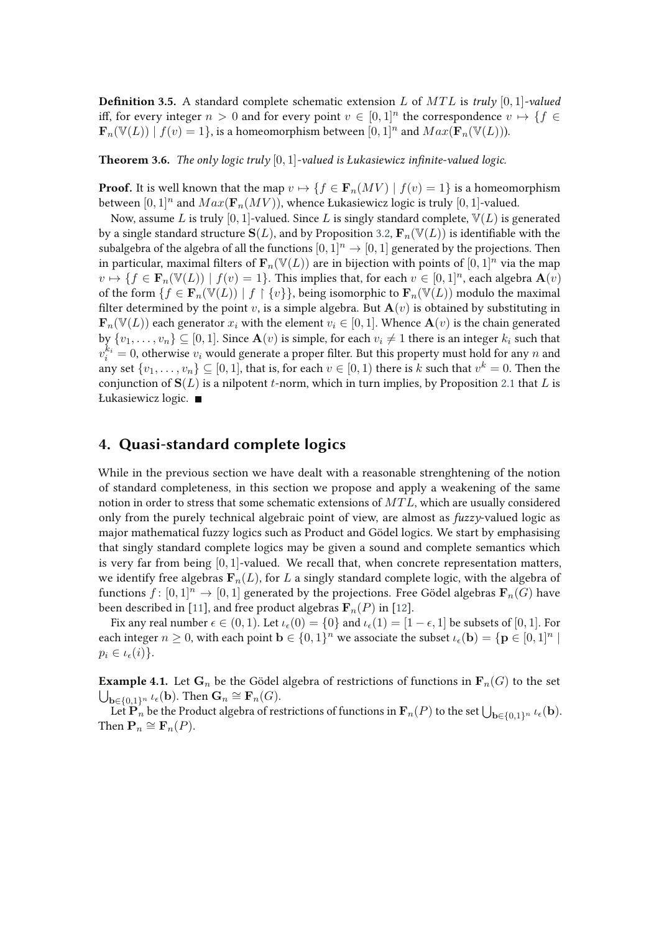**Definition 3.5.** A standard complete schematic extension L of  $MTL$  is *truly* [0, 1]*-valued* iff, for every integer  $n > 0$  and for every point  $v \in [0,1]^n$  the correspondence  $v \mapsto \{f \in$  $\mathbf{F}_n(\mathbb{V}(L)) \mid f(v) = 1\},$  is a homeomorphism between  $[0,1]^n$  and  $Max(\mathbf{F}_n(\mathbb{V}(L))).$ 

**Theorem 3.6.** *The only logic truly*  $[0, 1]$ -valued is *Łukasiewicz infinite-valued logic.* 

**Proof.** It is well known that the map  $v \mapsto \{f \in \mathbf{F}_n(MV) \mid f(v) = 1\}$  is a homeomorphism between  $[0,1]^n$  and  $Max(\mathbf{F}_n(MV))$ , whence Łukasiewicz logic is truly  $[0,1]$ -valued.

Now, assume L is truly [0, 1]-valued. Since L is singly standard complete,  $\mathbb{V}(L)$  is generated by a single standard structure  $S(L)$ , and by Proposition 3.2,  $\mathbf{F}_n(\mathbb{V}(L))$  is identifiable with the subalgebra of the algebra of all the functions  $[0, 1]^n \rightarrow [0, 1]$  generated by the projections. Then in particular, maximal filters of  $\mathbf{F}_n(\mathbb{V}(L))$  are in bijection with points of  $[0, 1]^n$  via the map  $v \mapsto \{f \in \mathbf{F}_n(\mathbb{V}(L)) \mid f(v) = 1\}$ . This implies that, for each  $v \in [0, 1]^n$ , each algebra  $\mathbf{A}(v)$ of the form  $\{f \in \mathbf{F}_n(\mathbb{V}(L)) \mid f \restriction \{v\}\}\)$ , being isomorphic to  $\mathbf{F}_n(\mathbb{V}(L))$  modulo the maximal filter determined by the point v, is a simple algebra. But  $\mathbf{A}(v)$  is obtained by substituting in  $\mathbf{F}_n(\mathbb{V}(L))$  each generator  $x_i$  with the element  $v_i \in [0,1]$ . Whence  $\mathbf{A}(v)$  is the chain generated by  $\{v_1, \ldots, v_n\} \subseteq [0, 1]$ . Since  $\mathbf{A}(v)$  is simple, for each  $v_i \neq 1$  there is an integer  $k_i$  such that  $v_i^{k_i} = 0$ , otherwise  $v_i$  would generate a proper filter. But this property must hold for any  $n$  and any set  $\{v_1,\ldots,v_n\}\subseteq [0,1]$ , that is, for each  $v\in [0,1)$  there is  $k$  such that  $v^k=0.$  Then the conjunction of  $S(L)$  is a nilpotent t-norm, which in turn implies, by Proposition 2.1 that L is Łukasiewicz logic.

## **4. Quasi-standard complete logics**

While in the previous section we have dealt with a reasonable strenghtening of the notion of standard completeness, in this section we propose and apply a weakening of the same notion in order to stress that some schematic extensions of  $MTL$ , which are usually considered only from the purely technical algebraic point of view, are almost as *fuzzy*-valued logic as major mathematical fuzzy logics such as Product and Gödel logics. We start by emphasising that singly standard complete logics may be given a sound and complete semantics which is very far from being  $[0, 1]$ -valued. We recall that, when concrete representation matters, we identify free algebras  $\mathbf{F}_n(L)$ , for L a singly standard complete logic, with the algebra of functions  $f: [0,1]^n \to [0,1]$  generated by the projections. Free Gödel algebras  $\mathbf{F}_n(G)$  have been described in [11], and free product algebras  $\mathbf{F}_n(P)$  in [12].

Fix any real number  $\epsilon \in (0,1)$ . Let  $\iota_{\epsilon}(0) = \{0\}$  and  $\iota_{\epsilon}(1) = [1 - \epsilon, 1]$  be subsets of  $[0,1]$ . For each integer  $n \geq 0$ , with each point  $\mathbf{b} \in \{0,1\}^n$  we associate the subset  $\iota_\epsilon(\mathbf{b}) = \{\mathbf{p} \in [0,1]^n \mid \mathbf{p} \in [0,1]^n\}$  $p_i \in \iota_{\epsilon}(i)$ .

**Example 4.1.** Let  $\mathbf{G}_n$  be the Gödel algebra of restrictions of functions in  $\mathbf{F}_n(G)$  to the set  $\overline{\bigcup_{\mathbf{b}\in\{0,1\}^n} \iota_\epsilon(\mathbf{b})}.$  Then  $\mathbf{G}_n \cong \mathbf{F}_n(G)$ .

Let  $\mathbf{P}_n$  be the Product algebra of restrictions of functions in  $\mathbf{F}_n(P)$  to the set  $\bigcup_{\mathbf{b}\in\{0,1\}^n} \iota_\epsilon(\mathbf{b}).$ Then  $\mathbf{P}_n \cong \mathbf{F}_n(P)$ .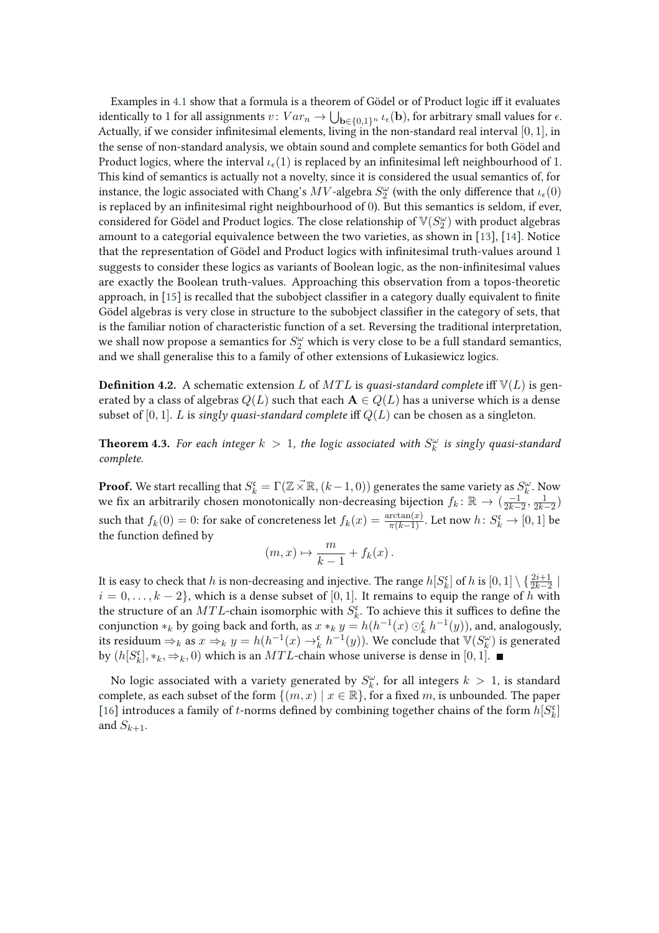Examples in 4.1 show that a formula is a theorem of Gödel or of Product logic iff it evaluates identically to  $1$  for all assignments  $v\colon Var_n\to \bigcup_{\mathbf{b}\in\{0,1\}^n}\iota_\epsilon(\mathbf{b}),$  for arbitrary small values for  $\epsilon.$ Actually, if we consider infinitesimal elements, living in the non-standard real interval  $[0, 1]$ , in the sense of non-standard analysis, we obtain sound and complete semantics for both Gödel and Product logics, where the interval  $\iota_{\epsilon}(1)$  is replaced by an infinitesimal left neighbourhood of 1. This kind of semantics is actually not a novelty, since it is considered the usual semantics of, for instance, the logic associated with Chang's  $MV$  -algebra  $S_2^\omega$  (with the only difference that  $\iota_\epsilon(0)$ is replaced by an infinitesimal right neighbourhood of  $0$ ). But this semantics is seldom, if ever, considered for Gödel and Product logics. The close relationship of  $\mathbb{V}(S_2^\omega)$  with product algebras amount to a categorial equivalence between the two varieties, as shown in [13], [14]. Notice that the representation of Gödel and Product logics with infinitesimal truth-values around 1 suggests to consider these logics as variants of Boolean logic, as the non-infinitesimal values are exactly the Boolean truth-values. Approaching this observation from a topos-theoretic approach, in  $[15]$  is recalled that the subobject classifier in a category dually equivalent to finite Gödel algebras is very close in structure to the subobject classifier in the category of sets, that is the familiar notion of characteristic function of a set. Reversing the traditional interpretation, we shall now propose a semantics for  $S_2^\omega$  which is very close to be a full standard semantics, and we shall generalise this to a family of other extensions of Łukasiewicz logics.

**Definition 4.2.** A schematic extension L of  $MTL$  is *quasi-standard complete* iff  $\mathbb{V}(L)$  is generated by a class of algebras  $Q(L)$  such that each  $A \in Q(L)$  has a universe which is a dense subset of [0, 1]. L is *singly quasi-standard complete* iff  $Q(L)$  can be chosen as a singleton.

**Theorem 4.3.** For each integer  $k > 1$ , the logic associated with  $S_k^{\omega}$  is singly quasi-standard *complete.*

**Proof.** We start recalling that  $S_k^{\mathfrak{c}} = \Gamma(\mathbb{Z} \times \mathbb{R}, (k-1, 0))$  generates the same variety as  $S_k^{\omega}$ . Now we fix an arbitrarily chosen monotonically non-decreasing bijection  $f_k: \mathbb{R} \to (\frac{-1}{2k-2}, \frac{1}{2k-2})$ such that  $f_k(0) = 0$ : for sake of concreteness let  $f_k(x) = \frac{\arctan(x)}{\pi(k-1)}$ . Let now  $h \colon S_k^{\mathfrak{c}} \to [0,1]$  be the function defined by

$$
(m,x)\mapsto \frac{m}{k-1}+f_k(x).
$$

It is easy to check that  $h$  is non-decreasing and injective. The range  $h[S_k^{\mathfrak{c}}]$  of  $h$  is  $[0,1]\setminus\{\frac{2i+1}{2k-2}\mid$  $i = 0, \ldots, k - 2$ , which is a dense subset of [0, 1]. It remains to equip the range of h with the structure of an  $MTL$ -chain isomorphic with  $S_k^{\mathfrak{c}}$ . To achieve this it suffices to define the conjunction  $*_k$  by going back and forth, as  $x *_k y = h(h^{-1}(x) \odot_k^{\mathfrak{c}} h^{-1}(y))$ , and, analogously, its residuum  $\Rightarrow_k$  as  $x \Rightarrow_k y = h(h^{-1}(x) \rightarrow_k^{\mathfrak{c}} h^{-1}(y))$ . We conclude that  $\mathbb{V}(S_k^\omega)$  is generated by  $(h[S_k^{\mathfrak{c}}], *_k, \Rightarrow_k, 0)$  which is an  $MTL$ -chain whose universe is dense in  $[0,1]$ .

No logic associated with a variety generated by  $S_k^{\omega}$ , for all integers  $k > 1$ , is standard complete, as each subset of the form  $\{(m, x) | x \in \mathbb{R}\}$ , for a fixed m, is unbounded. The paper [16] introduces a family of *t*-norms defined by combining together chains of the form  $h[S_k^{\mathfrak{c}}]$ and  $S_{k+1}$ .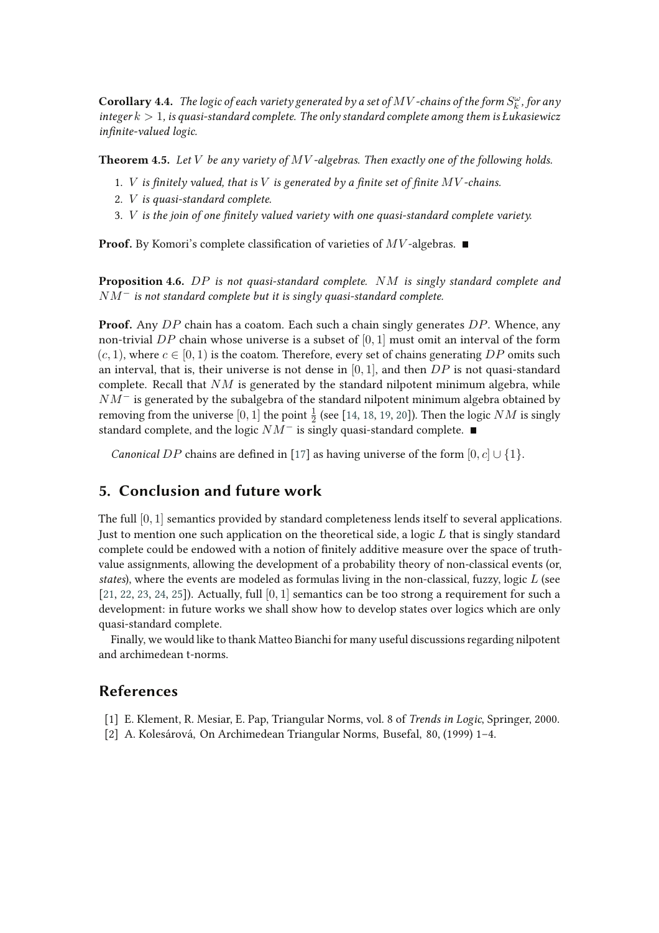${\bf Corollary 4.4.}$  The logic of each variety generated by a set of  $MV$  -chains of the form  $S_k^\omega$  , for any *integer* k > 1*, is quasi-standard complete. The only standard complete among them is Łukasiewicz infinite-valued logic.* 

**Theorem 4.5.** *Let* V *be any variety of* MV *-algebras. Then exactly one of the following holds.*

- 1. *V* is finitely valued, that is *V* is generated by a finite set of finite  $MV$ -chains.
- 2. V *is quasi-standard complete.*
- 3. *V* is the join of one finitely valued variety with one quasi-standard complete variety.

**Proof.** By Komori's complete classification of varieties of  $MV$ -algebras.  $\blacksquare$ 

**Proposition 4.6.** DP *is not quasi-standard complete.* NM *is singly standard complete and* NM<sup>−</sup> *is not standard complete but it is singly quasi-standard complete.*

**Proof.** Any DP chain has a coatom. Each such a chain singly generates DP. Whence, any non-trivial DP chain whose universe is a subset of  $[0, 1]$  must omit an interval of the form  $(c, 1)$ , where  $c \in [0, 1)$  is the coatom. Therefore, every set of chains generating DP omits such an interval, that is, their universe is not dense in [0, 1], and then  $DP$  is not quasi-standard complete. Recall that  $NM$  is generated by the standard nilpotent minimum algebra, while  $NM^-$  is generated by the subalgebra of the standard nilpotent minimum algebra obtained by removing from the universe  $[0,1]$  the point  $\frac{1}{2}$  (see [14, 18, 19, 20]). Then the logic  $NM$  is singly standard complete, and the logic  $NM^-$  is singly quasi-standard complete. ■

*Canonical* DP chains are defined in [17] as having universe of the form  $[0, c] \cup \{1\}$ .

## **5. Conclusion and future work**

The full [0, 1] semantics provided by standard completeness lends itself to several applications. Just to mention one such application on the theoretical side, a logic  $L$  that is singly standard complete could be endowed with a notion of finitely additive measure over the space of truthvalue assignments, allowing the development of a probability theory of non-classical events (or, *states*), where the events are modeled as formulas living in the non-classical, fuzzy, logic L (see [21, 22, 23, 24, 25]). Actually, full  $[0, 1]$  semantics can be too strong a requirement for such a development: in future works we shall show how to develop states over logics which are only quasi-standard complete.

Finally, we would like to thank Matteo Bianchi for many useful discussions regarding nilpotent and archimedean t-norms.

### **References**

- [1] E. Klement, R. Mesiar, E. Pap, Triangular Norms, vol. 8 of *Trends in Logic*, Springer, 2000.
- [2] A. Kolesárová, On Archimedean Triangular Norms, Busefal, 80, (1999) 1–4.